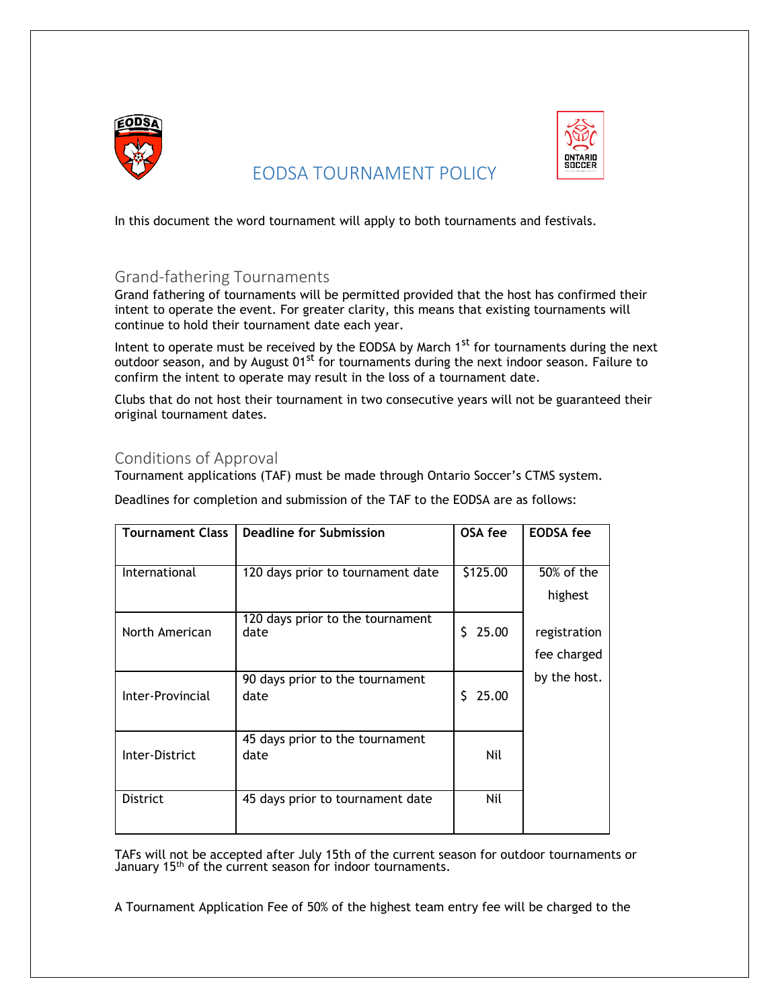

# EODSA TOURNAMENT POLICY



In this document the word tournament will apply to both tournaments and festivals.

## Grand-fathering Tournaments

Grand fathering of tournaments will be permitted provided that the host has confirmed their intent to operate the event. For greater clarity, this means that existing tournaments will continue to hold their tournament date each year.

Intent to operate must be received by the EODSA by March  $1<sup>st</sup>$  for tournaments during the next outdoor season, and by August  $01^{st}$  for tournaments during the next indoor season. Failure to confirm the intent to operate may result in the loss of a tournament date.

Clubs that do not host their tournament in two consecutive years will not be guaranteed their original tournament dates.

## Conditions of Approval

Tournament applications (TAF) must be made through Ontario Soccer's CTMS system.

Deadlines for completion and submission of the TAF to the EODSA are as follows:

| <b>Tournament Class</b> | Deadline for Submission           | OSA fee     | <b>EODSA</b> fee |
|-------------------------|-----------------------------------|-------------|------------------|
|                         |                                   |             |                  |
| International           | 120 days prior to tournament date | \$125.00    | 50% of the       |
|                         |                                   |             | highest          |
|                         | 120 days prior to the tournament  |             |                  |
| North American          | date                              | 25.00<br>S. | registration     |
|                         |                                   |             | fee charged      |
|                         | 90 days prior to the tournament   |             | by the host.     |
| Inter-Provincial        | date                              | 25.00<br>S. |                  |
|                         |                                   |             |                  |
|                         | 45 days prior to the tournament   |             |                  |
| Inter-District          | date                              | Nil         |                  |
|                         |                                   |             |                  |
| <b>District</b>         | 45 days prior to tournament date  | Nil         |                  |
|                         |                                   |             |                  |
|                         |                                   |             |                  |

TAFs will not be accepted after July 15th of the current season for outdoor tournaments or January 15<sup>th</sup> of the current season for indoor tournaments.

A Tournament Application Fee of 50% of the highest team entry fee will be charged to the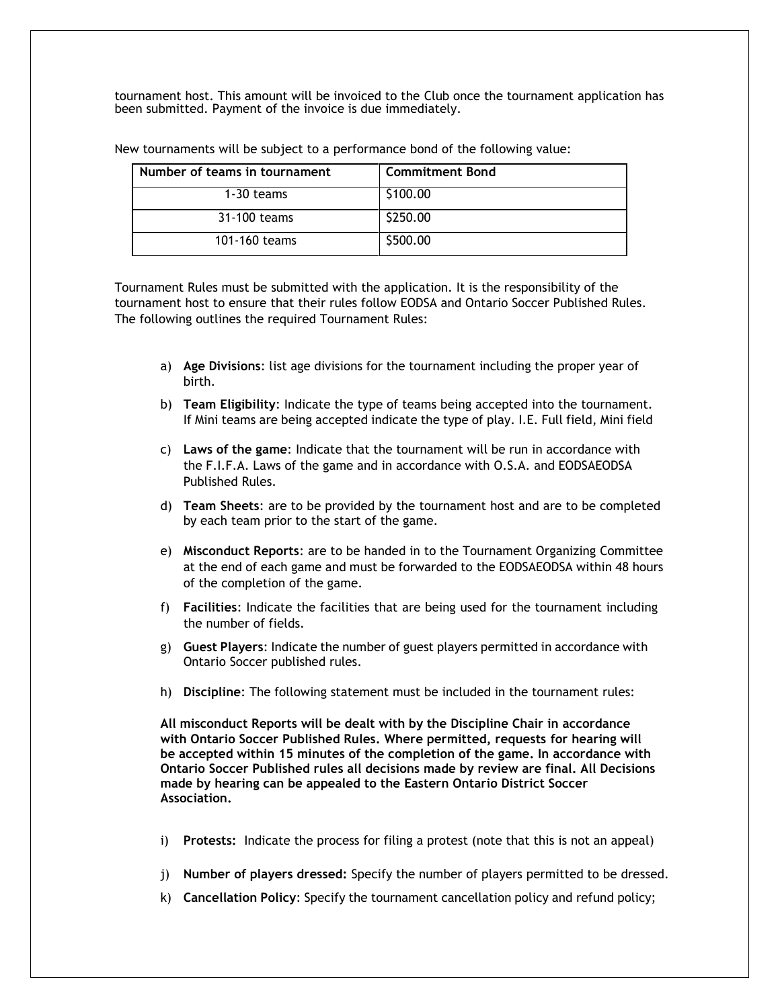tournament host. This amount will be invoiced to the Club once the tournament application has been submitted. Payment of the invoice is due immediately.

| Number of teams in tournament | <b>Commitment Bond</b> |
|-------------------------------|------------------------|
| 1-30 teams                    | \$100.00               |
| 31-100 teams                  | \$250.00               |
| 101-160 teams                 | \$500.00               |

New tournaments will be subject to a performance bond of the following value:

Tournament Rules must be submitted with the application. It is the responsibility of the tournament host to ensure that their rules follow EODSA and Ontario Soccer Published Rules. The following outlines the required Tournament Rules:

- a) **Age Divisions**: list age divisions for the tournament including the proper year of birth.
- b) **Team Eligibility**: Indicate the type of teams being accepted into the tournament. If Mini teams are being accepted indicate the type of play. I.E. Full field, Mini field
- c) **Laws of the game**: Indicate that the tournament will be run in accordance with the F.I.F.A. Laws of the game and in accordance with O.S.A. and EODSAEODSA Published Rules.
- d) **Team Sheets**: are to be provided by the tournament host and are to be completed by each team prior to the start of the game.
- e) **Misconduct Reports**: are to be handed in to the Tournament Organizing Committee at the end of each game and must be forwarded to the EODSAEODSA within 48 hours of the completion of the game.
- f) **Facilities**: Indicate the facilities that are being used for the tournament including the number of fields.
- g) **Guest Players**: Indicate the number of guest players permitted in accordance with Ontario Soccer published rules.
- h) **Discipline**: The following statement must be included in the tournament rules:

**All misconduct Reports will be dealt with by the Discipline Chair in accordance with Ontario Soccer Published Rules. Where permitted, requests for hearing will be accepted within 15 minutes of the completion of the game. In accordance with Ontario Soccer Published rules all decisions made by review are final. All Decisions made by hearing can be appealed to the Eastern Ontario District Soccer Association.**

- i) **Protests:** Indicate the process for filing a protest (note that this is not an appeal)
- j) **Number of players dressed:** Specify the number of players permitted to be dressed.
- k) **Cancellation Policy**: Specify the tournament cancellation policy and refund policy;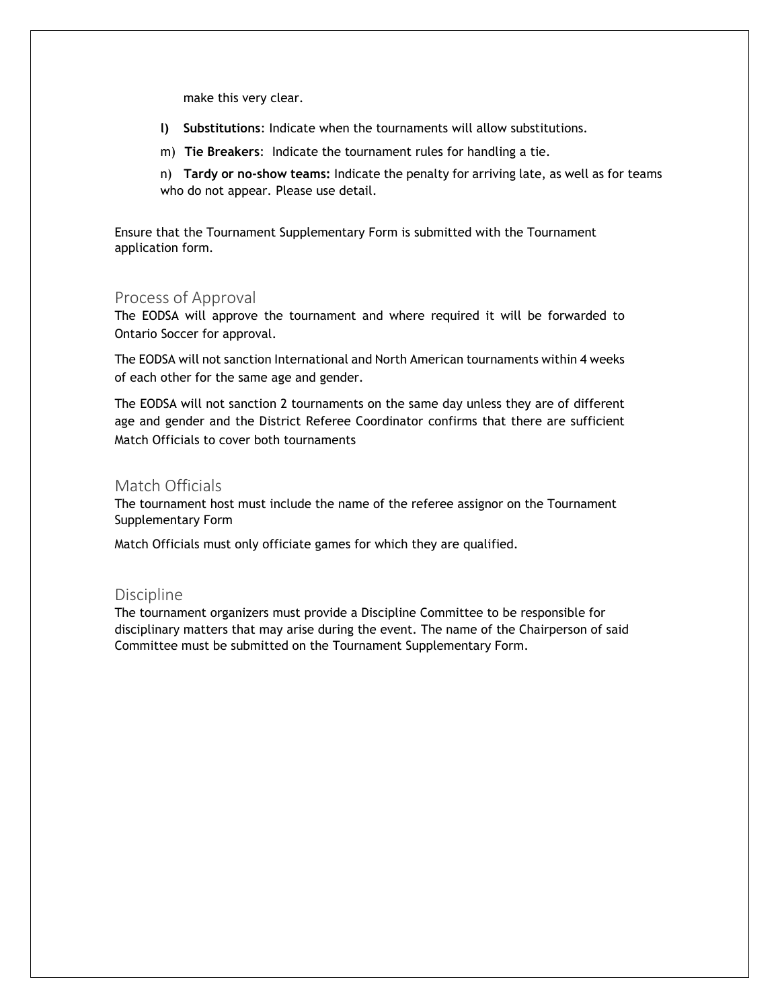make this very clear.

- **l) Substitutions**: Indicate when the tournaments will allow substitutions.
- m) **Tie Breakers**: Indicate the tournament rules for handling a tie.
- n) **Tardy or no-show teams:** Indicate the penalty for arriving late, as well as for teams who do not appear. Please use detail.

Ensure that the Tournament Supplementary Form is submitted with the Tournament application form.

#### Process of Approval

The EODSA will approve the tournament and where required it will be forwarded to Ontario Soccer for approval.

The EODSA will not sanction International and North American tournaments within 4 weeks of each other for the same age and gender.

The EODSA will not sanction 2 tournaments on the same day unless they are of different age and gender and the District Referee Coordinator confirms that there are sufficient Match Officials to cover both tournaments

### Match Officials

The tournament host must include the name of the referee assignor on the Tournament Supplementary Form

Match Officials must only officiate games for which they are qualified.

#### Discipline

The tournament organizers must provide a Discipline Committee to be responsible for disciplinary matters that may arise during the event. The name of the Chairperson of said Committee must be submitted on the Tournament Supplementary Form.